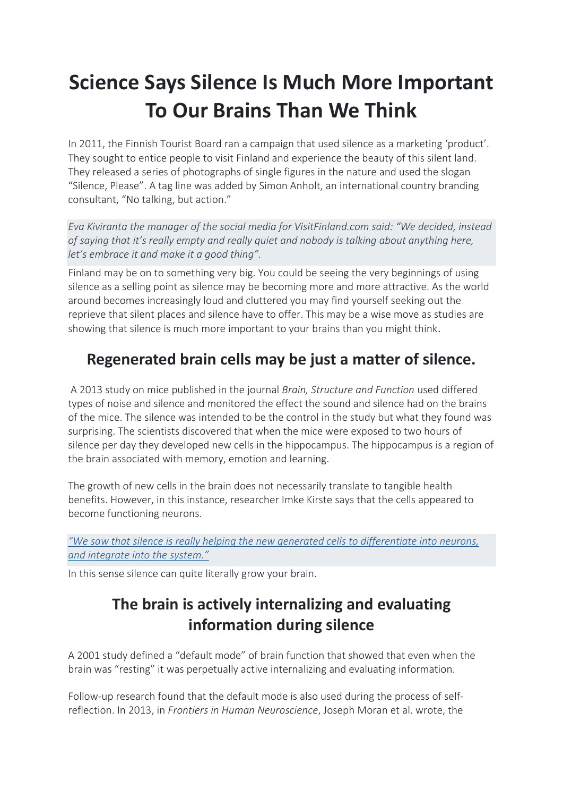# **Science Says Silence Is Much More Important To Our Brains Than We Think**

In 2011, the Finnish Tourist Board ran a campaign that used silence as a marketing 'product'. They sought to entice people to visit Finland and experience the beauty of this silent land. They released a series of photographs of single figures in the nature and used the slogan "Silence, Please". A tag line was added by Simon Anholt, an international country branding consultant, "No talking, but action."

*Eva Kiviranta the manager of the social media for VisitFinland.com said: "We decided, instead of saying that it's really empty and really quiet and nobody is talking about anything here, let's embrace it and make it a good thing".*

Finland may be on to something very big. You could be seeing the very beginnings of using silence as a selling point as silence may be becoming more and more attractive. As the world around becomes increasingly loud and cluttered you may find yourself seeking out the reprieve that silent places and silence have to offer. This may be a wise move as studies are showing that silence is much more important to your brains than you might think.

## **Regenerated brain cells may be just a matter of silence.**

[A 2013 study on mice](http://nautil.us/issue/16/nothingness/this-is-your-brain-on-silence) published in the journal *Brain, Structure and Function* used differed types of noise and silence and monitored the effect the sound and silence had on the brains of the mice. The silence was intended to be the control in the study but what they found was surprising. The scientists discovered that when the mice were exposed to two hours of silence per day they developed new cells in the hippocampus. The hippocampus is a region of the brain associated with memory, emotion and learning.

The growth of new cells in the brain does not necessarily translate to tangible health benefits. However, in this instance, researcher Imke Kirste says that the cells appeared to become functioning neurons.

*["We saw that silence is really helping the new generated cells to differentiate into neurons,](http://nautil.us/issue/16/nothingness/this-is-your-brain-on-silence)  [and integrate into the system."](http://nautil.us/issue/16/nothingness/this-is-your-brain-on-silence)*

In this sense silence can quite literally grow your brain.

### **The brain is actively internalizing and evaluating information during silence**

A 2001 study defined a "default mode" of brain function that showed that even when the brain was "resting" it was perpetually active internalizing and evaluating information.

Follow-up research found that the default mode is also used during the process of selfreflection. In 2013, in *Frontiers in Human Neuroscience*, Joseph Moran et al. wrote, the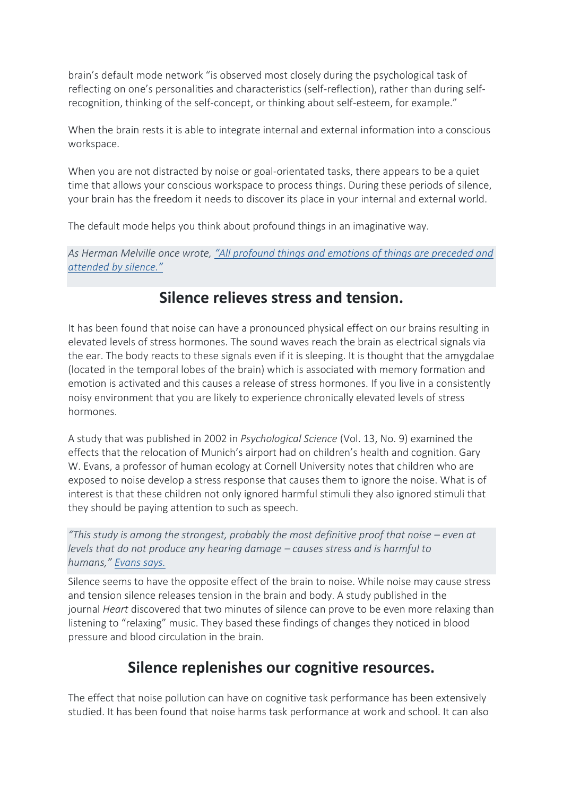brain's default mode network "is observed most closely during the psychological task of reflecting on one's personalities and characteristics (self-reflection), rather than during selfrecognition, thinking of the self-concept, or thinking about self-esteem, for example."

When the brain rests it is able to integrate internal and external information into a conscious workspace.

When you are not distracted by noise or goal-orientated tasks, there appears to be a quiet time that allows your conscious workspace to process things. During these periods of silence, your brain has the freedom it needs to discover its place in your internal and external world.

The default mode helps you think about profound things in an imaginative way.

*As Herman Melville once wrote, ["All profound things and emotions of things are preceded and](http://www.huffingtonpost.com/2016/03/03/silence-brain-benefits_n_9389210.html)  [attended by silence."](http://www.huffingtonpost.com/2016/03/03/silence-brain-benefits_n_9389210.html)*

#### **Silence relieves stress and tension.**

It has been found that noise can have a pronounced physical effect on our brains resulting in elevated levels of stress hormones. The sound waves reach the brain as electrical signals via the ear. The body reacts to these signals even if it is sleeping. It is thought that the amygdalae (located in the temporal lobes of the brain) which is associated with memory formation and emotion is activated and this causes a release of stress hormones. If you live in a consistently noisy environment that you are likely to experience chronically elevated levels of [stress](http://nautil.us/issue/16/nothingness/this-is-your-brain-on-silence)  [hormones.](http://nautil.us/issue/16/nothingness/this-is-your-brain-on-silence)

A study that was published in 2002 in *Psychological Science* (Vol. 13, No. 9) examined the effects that the relocation of Munich's airport had on children's health and cognition. Gary W. Evans, a professor of human ecology at Cornell University notes that children who are exposed to noise develop a stress response that causes them to ignore the noise. What is of interest is that these children not only ignored harmful stimuli they also ignored stimuli that they should be paying attention to such as speech.

*"This study is among the strongest, probably the most definitive proof that noise – even at levels that do not produce any hearing damage – causes stress and is harmful to humans," [Evans says.](http://www.apa.org/monitor/2011/07-08/silence.aspx)*

Silence seems to have the opposite effect of the brain to noise. While noise may cause stress and tension silence releases tension in the brain and body. A study published in the journal *Heart* discovered that two minutes of silence can prove to be even more relaxing than listening to "relaxing" music. [They based these findings of changes they noticed in blood](http://www.ncbi.nlm.nih.gov/pmc/articles/PMC1860846/)  pressure and blood [circulation in the brain.](http://www.ncbi.nlm.nih.gov/pmc/articles/PMC1860846/)

#### **Silence replenishes our cognitive resources.**

The effect that noise pollution can have on cognitive task performance has been extensively studied. It has been found that noise harms task performance at work and school. It can also